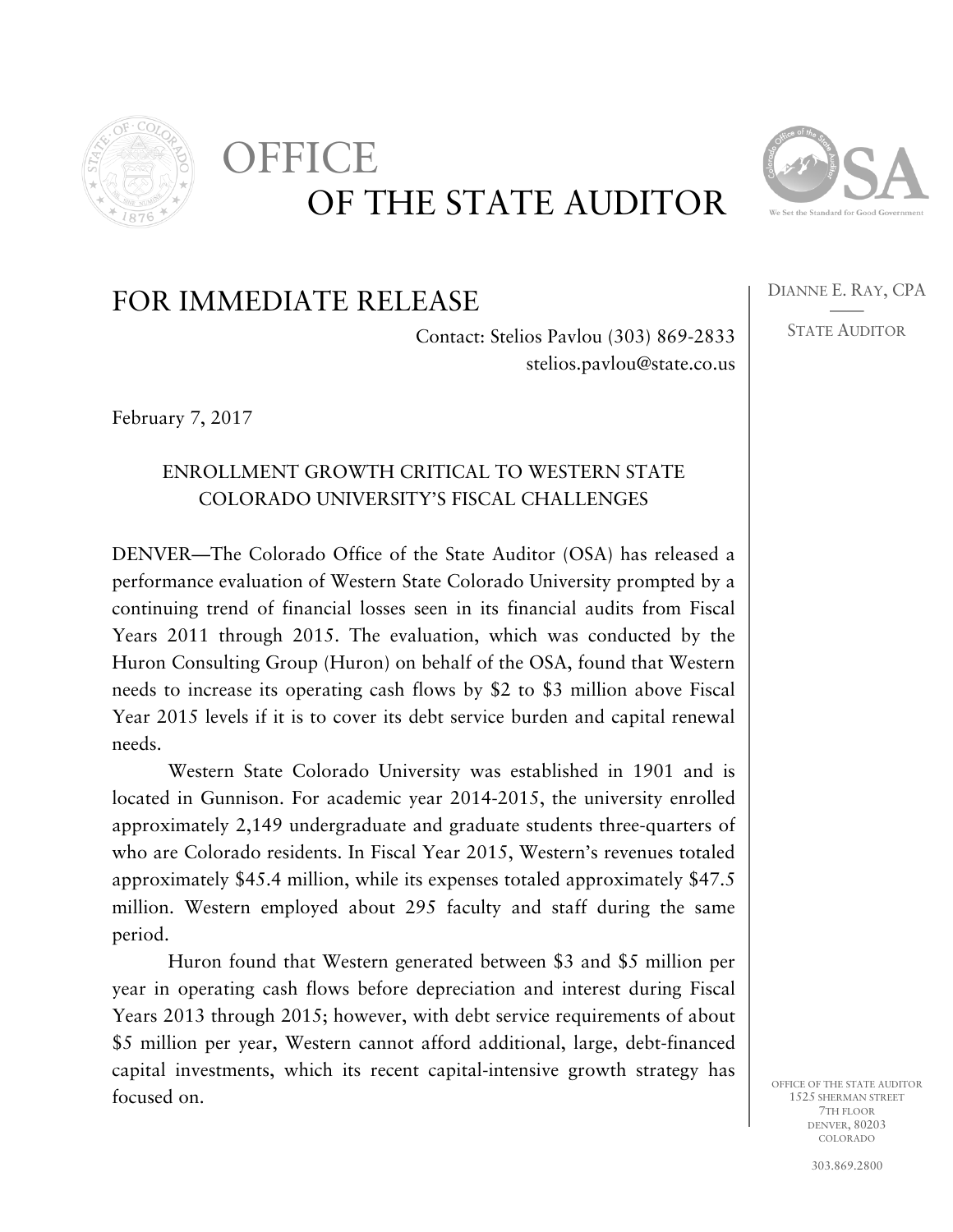

## OF THE STATE AUDITOR OFFICE



DIANNE E. RAY, CPA —— STATE AUDITOR

## FOR IMMEDIATE RELEASE

Contact: Stelios Pavlou (303) 869-2833 stelios.pavlou@state.co.us

February 7, 2017

## ENROLLMENT GROWTH CRITICAL TO WESTERN STATE COLORADO UNIVERSITY'S FISCAL CHALLENGES

DENVER—The Colorado Office of the State Auditor (OSA) has released a performance evaluation of Western State Colorado University prompted by a continuing trend of financial losses seen in its financial audits from Fiscal Years 2011 through 2015. The evaluation, which was conducted by the Huron Consulting Group (Huron) on behalf of the OSA, found that Western needs to increase its operating cash flows by \$2 to \$3 million above Fiscal Year 2015 levels if it is to cover its debt service burden and capital renewal needs.

Western State Colorado University was established in 1901 and is located in Gunnison. For academic year 2014-2015, the university enrolled approximately 2,149 undergraduate and graduate students three-quarters of who are Colorado residents. In Fiscal Year 2015, Western's revenues totaled approximately \$45.4 million, while its expenses totaled approximately \$47.5 million. Western employed about 295 faculty and staff during the same period.

Huron found that Western generated between \$3 and \$5 million per year in operating cash flows before depreciation and interest during Fiscal Years 2013 through 2015; however, with debt service requirements of about \$5 million per year, Western cannot afford additional, large, debt-financed capital investments, which its recent capital-intensive growth strategy has focused on.

OFFICE OF THE STATE AUDITOR 1525 SHERMAN STREET 7TH FLOOR DENVER, 80203 COLORADO